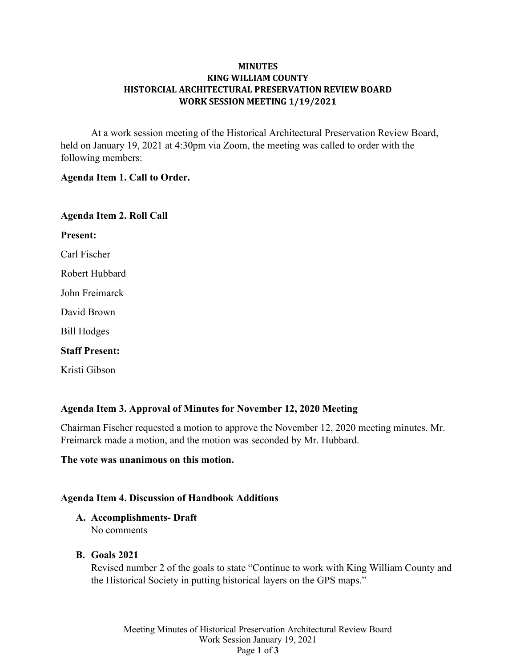### **MINUTES KING WILLIAM COUNTY HISTORCIAL ARCHITECTURAL PRESERVATION REVIEW BOARD WORK SESSION MEETING 1/19/2021**

At a work session meeting of the Historical Architectural Preservation Review Board, held on January 19, 2021 at 4:30pm via Zoom, the meeting was called to order with the following members:

#### **Agenda Item 1. Call to Order.**

| <b>Agenda Item 2. Roll Call</b> |
|---------------------------------|
| <b>Present:</b>                 |
| Carl Fischer                    |
| Robert Hubbard                  |
| John Freimarck                  |
| David Brown                     |
| <b>Bill Hodges</b>              |
| <b>Staff Present:</b>           |
| Kristi Gibson                   |

# **Agenda Item 3. Approval of Minutes for November 12, 2020 Meeting**

Chairman Fischer requested a motion to approve the November 12, 2020 meeting minutes. Mr. Freimarck made a motion, and the motion was seconded by Mr. Hubbard.

### **The vote was unanimous on this motion.**

# **Agenda Item 4. Discussion of Handbook Additions**

### **A. Accomplishments- Draft** No comments

**B. Goals 2021**

Revised number 2 of the goals to state "Continue to work with King William County and the Historical Society in putting historical layers on the GPS maps."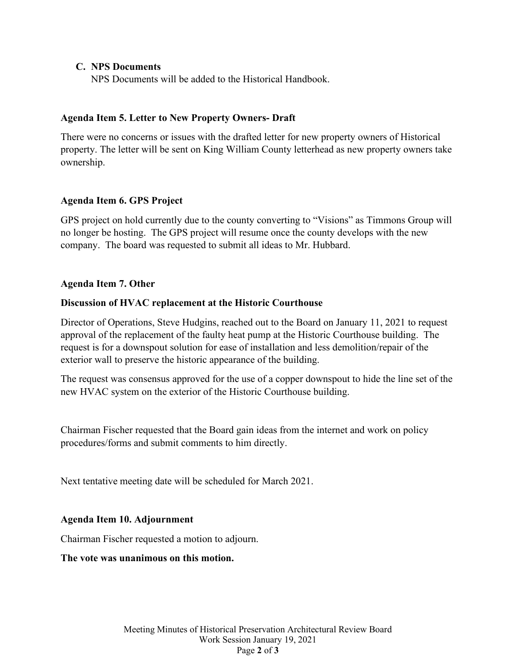### **C. NPS Documents**

NPS Documents will be added to the Historical Handbook.

# **Agenda Item 5. Letter to New Property Owners- Draft**

There were no concerns or issues with the drafted letter for new property owners of Historical property. The letter will be sent on King William County letterhead as new property owners take ownership.

# **Agenda Item 6. GPS Project**

GPS project on hold currently due to the county converting to "Visions" as Timmons Group will no longer be hosting. The GPS project will resume once the county develops with the new company. The board was requested to submit all ideas to Mr. Hubbard.

# **Agenda Item 7. Other**

# **Discussion of HVAC replacement at the Historic Courthouse**

Director of Operations, Steve Hudgins, reached out to the Board on January 11, 2021 to request approval of the replacement of the faulty heat pump at the Historic Courthouse building. The request is for a downspout solution for ease of installation and less demolition/repair of the exterior wall to preserve the historic appearance of the building.

The request was consensus approved for the use of a copper downspout to hide the line set of the new HVAC system on the exterior of the Historic Courthouse building.

Chairman Fischer requested that the Board gain ideas from the internet and work on policy procedures/forms and submit comments to him directly.

Next tentative meeting date will be scheduled for March 2021.

# **Agenda Item 10. Adjournment**

Chairman Fischer requested a motion to adjourn.

**The vote was unanimous on this motion.**